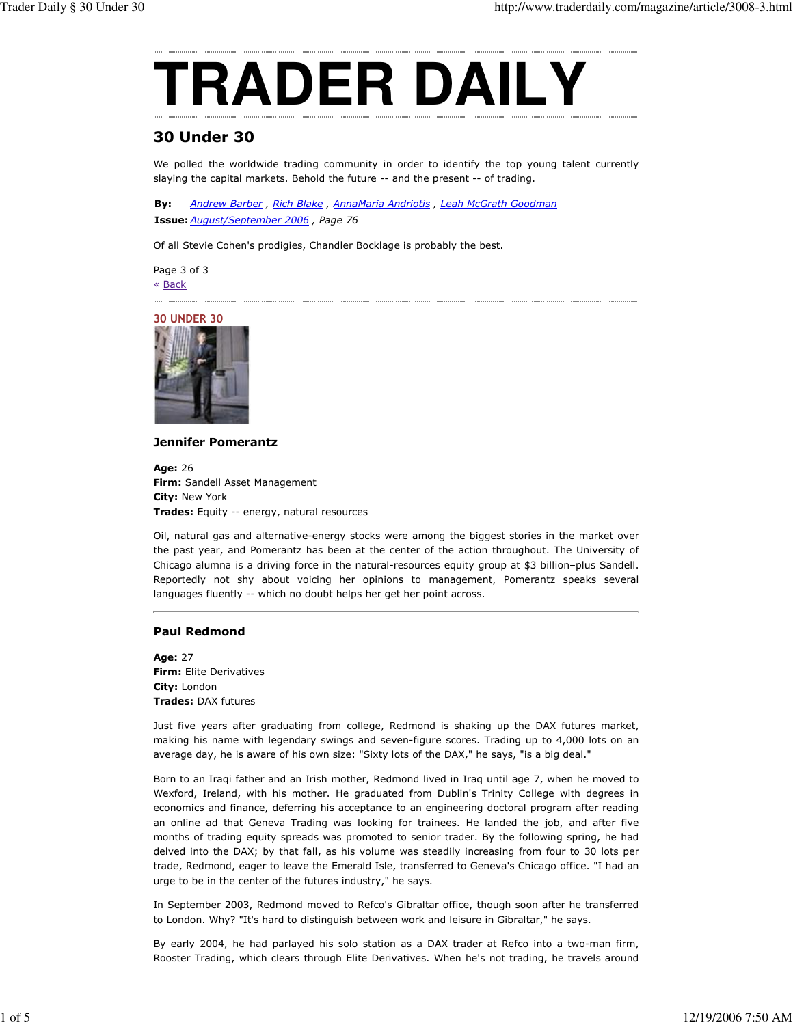

# **30 Under 30**

We polled the worldwide trading community in order to identify the top young talent currently slaying the capital markets. Behold the future -- and the present -- of trading.

Bv: Andrew Barber, Rich Blake, AnnaMaria Andriotis, Leah McGrath Goodman Issue: August/September 2006, Page 76

Of all Stevie Cohen's prodigies, Chandler Bocklage is probably the best.

Page 3 of 3 « Back



## **Jennifer Pomerantz**

Age: 26 Firm: Sandell Asset Management City: New York Trades: Equity -- energy, natural resources

Oil, natural gas and alternative-energy stocks were among the biggest stories in the market over the past year, and Pomerantz has been at the center of the action throughout. The University of Chicago alumna is a driving force in the natural-resources equity group at \$3 billion-plus Sandell. Reportedly not shy about voicing her opinions to management, Pomerantz speaks several languages fluently -- which no doubt helps her get her point across.

## **Paul Redmond**

Age: 27 Firm: Elite Derivatives City: London **Trades: DAX futures** 

Just five years after graduating from college, Redmond is shaking up the DAX futures market, making his name with legendary swings and seven-figure scores. Trading up to 4,000 lots on an average day, he is aware of his own size: "Sixty lots of the DAX," he says, "is a big deal."

Born to an Iraqi father and an Irish mother, Redmond lived in Iraq until age 7, when he moved to Wexford, Ireland, with his mother. He graduated from Dublin's Trinity College with degrees in economics and finance, deferring his acceptance to an engineering doctoral program after reading an online ad that Geneva Trading was looking for trainees. He landed the job, and after five months of trading equity spreads was promoted to senior trader. By the following spring, he had delved into the DAX; by that fall, as his volume was steadily increasing from four to 30 lots per trade, Redmond, eager to leave the Emerald Isle, transferred to Geneva's Chicago office. "I had an urge to be in the center of the futures industry," he says.

In September 2003, Redmond moved to Refco's Gibraltar office, though soon after he transferred to London. Why? "It's hard to distinguish between work and leisure in Gibraltar," he says.

By early 2004, he had parlayed his solo station as a DAX trader at Refco into a two-man firm, Rooster Trading, which clears through Elite Derivatives. When he's not trading, he travels around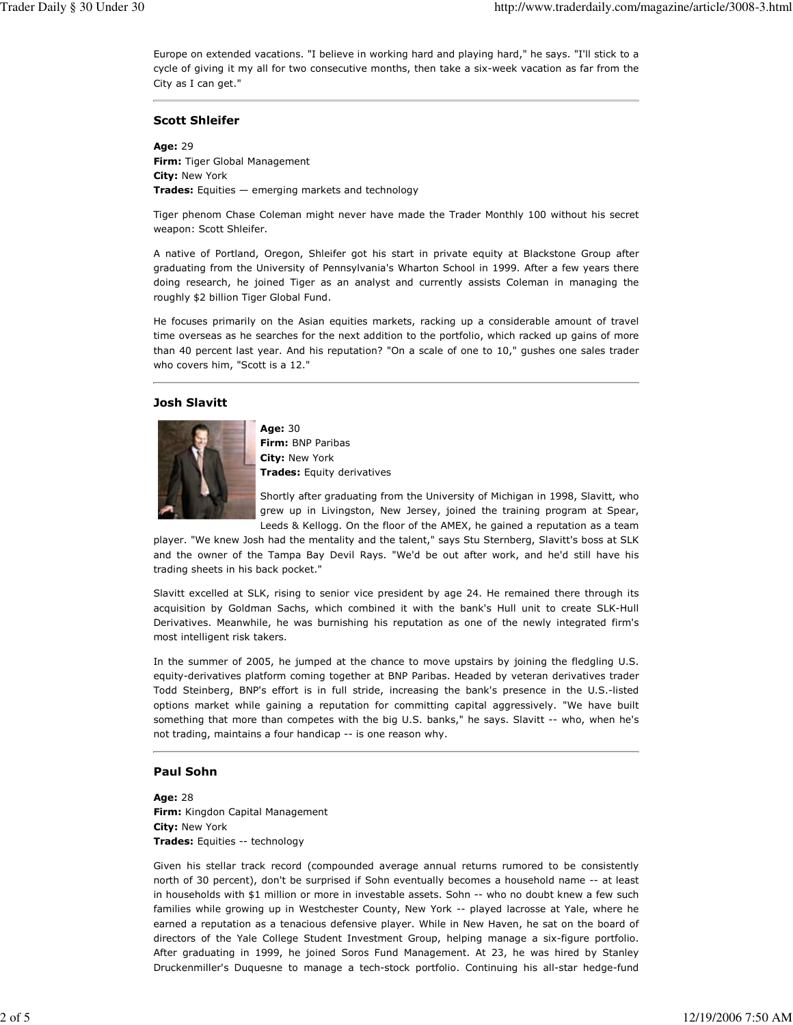Europe on extended vacations. "I believe in working hard and playing hard," he says. "I'll stick to a cycle of giving it my all for two consecutive months, then take a six-week vacation as far from the City as I can get."

## **Scott Shleifer**

Age: 29 Firm: Tiger Global Management City: New York Trades: Equities - emerging markets and technology

Tiger phenom Chase Coleman might never have made the Trader Monthly 100 without his secret weapon: Scott Shleifer.

A native of Portland, Oregon, Shleifer got his start in private equity at Blackstone Group after graduating from the University of Pennsylvania's Wharton School in 1999. After a few years there doing research, he joined Tiger as an analyst and currently assists Coleman in managing the roughly \$2 billion Tiger Global Fund.

He focuses primarily on the Asian equities markets, racking up a considerable amount of travel time overseas as he searches for the next addition to the portfolio, which racked up gains of more than 40 percent last year. And his reputation? "On a scale of one to 10," gushes one sales trader who covers him, "Scott is a 12."

## **Josh Slavitt**



Age: 30 Firm: BNP Paribas City: New York **Trades:** Equity derivatives

Shortly after graduating from the University of Michigan in 1998, Slavitt, who grew up in Livingston, New Jersey, joined the training program at Spear, Leeds & Kellogg. On the floor of the AMEX, he gained a reputation as a team

player. "We knew Josh had the mentality and the talent," says Stu Sternberg, Slavitt's boss at SLK and the owner of the Tampa Bay Devil Rays. "We'd be out after work, and he'd still have his trading sheets in his back pocket."

Slavitt excelled at SLK, rising to senior vice president by age 24. He remained there through its acquisition by Goldman Sachs, which combined it with the bank's Hull unit to create SLK-Hull Derivatives. Meanwhile, he was burnishing his reputation as one of the newly integrated firm's most intelligent risk takers.

In the summer of 2005, he jumped at the chance to move upstairs by joining the fledgling U.S. equity-derivatives platform coming together at BNP Paribas. Headed by veteran derivatives trader Todd Steinberg, BNP's effort is in full stride, increasing the bank's presence in the U.S.-listed options market while gaining a reputation for committing capital aggressively. "We have built something that more than competes with the big U.S. banks," he says. Slavitt -- who, when he's not trading, maintains a four handicap -- is one reason why.

# **Paul Sohn**

Age: 28 Firm: Kingdon Capital Management City: New York Trades: Equities -- technology

Given his stellar track record (compounded average annual returns rumored to be consistently north of 30 percent), don't be surprised if Sohn eventually becomes a household name -- at least in households with \$1 million or more in investable assets. Sohn -- who no doubt knew a few such families while growing up in Westchester County, New York -- played lacrosse at Yale, where he earned a reputation as a tenacious defensive player. While in New Haven, he sat on the board of directors of the Yale College Student Investment Group, helping manage a six-figure portfolio. After graduating in 1999, he joined Soros Fund Management. At 23, he was hired by Stanley Druckenmiller's Duquesne to manage a tech-stock portfolio. Continuing his all-star hedge-fund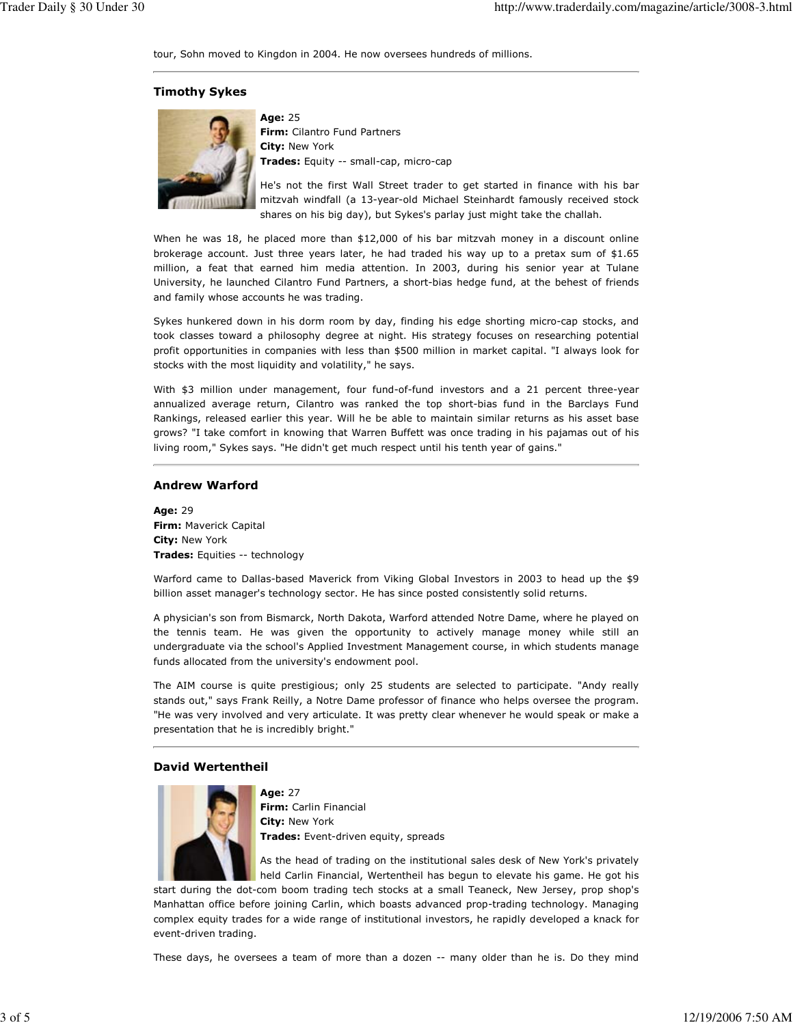tour, Sohn moved to Kingdon in 2004. He now oversees hundreds of millions.

## **Timothy Sykes**



Age: 25 Firm: Cilantro Fund Partners City: New York Trades: Equity -- small-cap, micro-cap

He's not the first Wall Street trader to get started in finance with his bar mitzvah windfall (a 13-year-old Michael Steinhardt famously received stock shares on his big day), but Sykes's parlay just might take the challah.

When he was 18, he placed more than \$12,000 of his bar mitzvah money in a discount online brokerage account. Just three years later, he had traded his way up to a pretax sum of \$1.65 million, a feat that earned him media attention. In 2003, during his senior year at Tulane University, he launched Cilantro Fund Partners, a short-bias hedge fund, at the behest of friends and family whose accounts he was trading.

Sykes hunkered down in his dorm room by day, finding his edge shorting micro-cap stocks, and took classes toward a philosophy degree at night. His strategy focuses on researching potential profit opportunities in companies with less than \$500 million in market capital. "I always look for stocks with the most liquidity and volatility," he says.

With \$3 million under management, four fund-of-fund investors and a 21 percent three-year annualized average return, Cilantro was ranked the top short-bias fund in the Barclays Fund Rankings, released earlier this year. Will he be able to maintain similar returns as his asset base grows? "I take comfort in knowing that Warren Buffett was once trading in his pajamas out of his living room," Sykes says. "He didn't get much respect until his tenth year of gains."

## **Andrew Warford**

Age: 29 Firm: Maverick Capital City: New York Trades: Equities -- technology

Warford came to Dallas-based Maverick from Viking Global Investors in 2003 to head up the \$9 billion asset manager's technology sector. He has since posted consistently solid returns.

A physician's son from Bismarck, North Dakota, Warford attended Notre Dame, where he played on the tennis team. He was given the opportunity to actively manage money while still an undergraduate via the school's Applied Investment Management course, in which students manage funds allocated from the university's endowment pool.

The AIM course is quite prestigious; only 25 students are selected to participate. "Andy really stands out," says Frank Reilly, a Notre Dame professor of finance who helps oversee the program. "He was very involved and very articulate. It was pretty clear whenever he would speak or make a presentation that he is incredibly bright."

## **David Wertentheil**



**Age: 27** Firm: Carlin Financial City: New York Trades: Event-driven equity, spreads

As the head of trading on the institutional sales desk of New York's privately held Carlin Financial, Wertentheil has begun to elevate his game. He got his

start during the dot-com boom trading tech stocks at a small Teaneck, New Jersey, prop shop's Manhattan office before joining Carlin, which boasts advanced prop-trading technology. Managing complex equity trades for a wide range of institutional investors, he rapidly developed a knack for event-driven trading.

These days, he oversees a team of more than a dozen -- many older than he is. Do they mind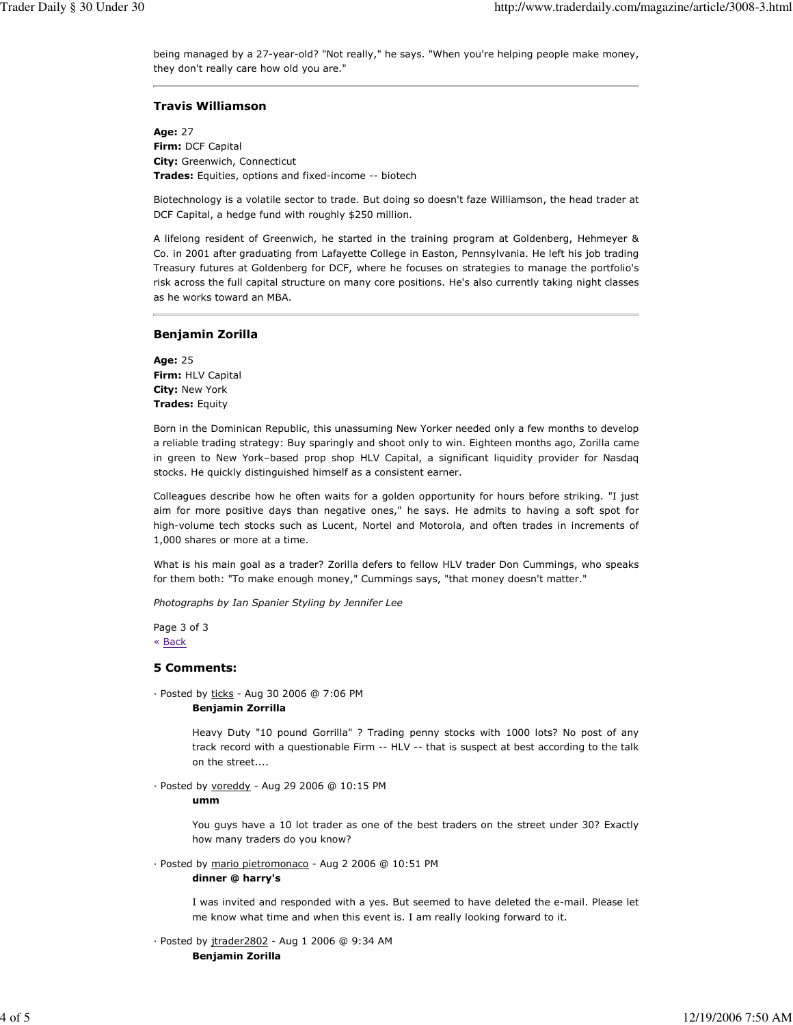being managed by a 27-year-old? "Not really," he says. "When you're helping people make money, they don't really care how old you are."

## **Travis Williamson**

Age: 27 Firm: DCF Capital City: Greenwich, Connecticut Trades: Equities, options and fixed-income -- biotech

Biotechnology is a volatile sector to trade. But doing so doesn't faze Williamson, the head trader at DCF Capital, a hedge fund with roughly \$250 million.

A lifelong resident of Greenwich, he started in the training program at Goldenberg, Hehmeyer & Co. in 2001 after graduating from Lafayette College in Easton, Pennsylvania. He left his job trading Treasury futures at Goldenberg for DCF, where he focuses on strategies to manage the portfolio's risk across the full capital structure on many core positions. He's also currently taking night classes as he works toward an MBA.

#### **Benjamin Zorilla**

Age: 25 Firm: HLV Capital City: New York Trades: Equity

Born in the Dominican Republic, this unassuming New Yorker needed only a few months to develop a reliable trading strategy: Buy sparingly and shoot only to win. Eighteen months ago, Zorilla came in green to New York-based prop shop HLV Capital, a significant liquidity provider for Nasdag stocks. He quickly distinguished himself as a consistent earner.

Colleagues describe how he often waits for a golden opportunity for hours before striking. "I just aim for more positive days than negative ones," he says. He admits to having a soft spot for high-volume tech stocks such as Lucent, Nortel and Motorola, and often trades in increments of 1,000 shares or more at a time.

What is his main goal as a trader? Zorilla defers to fellow HLV trader Don Cummings, who speaks for them both: "To make enough money," Cummings says, "that money doesn't matter."

Photographs by Ian Spanier Styling by Jennifer Lee

Page 3 of 3 « Back

#### **5 Comments:**

· Posted by ticks - Aug 30 2006 @ 7:06 PM **Benjamin Zorrilla** 

> Heavy Duty "10 pound Gorrilla" ? Trading penny stocks with 1000 lots? No post of any track record with a questionable Firm -- HLV -- that is suspect at best according to the talk on the street....

· Posted by voreddy - Aug 29 2006 @ 10:15 PM

umm

You guys have a 10 lot trader as one of the best traders on the street under 30? Exactly how many traders do you know?

· Posted by mario pietromonaco - Aug 2 2006 @ 10:51 PM

dinner @ harry's

I was invited and responded with a yes. But seemed to have deleted the e-mail. Please let me know what time and when this event is. I am really looking forward to it.

· Posted by jtrader2802 - Aug 1 2006 @ 9:34 AM **Benjamin Zorilla**